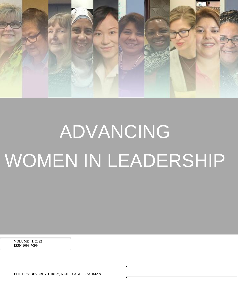

# ADVANCING WOMEN IN LEADERSHIP

VOLUME 41, 2022 ISSN 1093-7099

EDITORS: BEVERLY J. IRBY, NAHED ABDELRAHMAN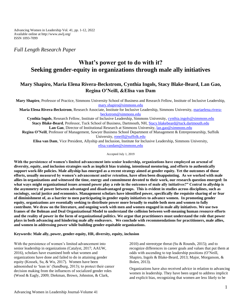Advancing Women in Leadership Vol. 41, pp. 1-12, 2022 Available online at http://www.awlj.org/ ISSN 1093-7099

*Full Length Research Paper*

# **What's power got to do with it? Seeking gender-equity in organizations through male ally initiatives**

# **Mary Shapiro, Maria Elena Rivera-Beckstrom, Cynthia Ingols, Stacy Blake-Beard, Lan Gao, Regina O'Neill, &Elisa van Dam**

**Mary Shapiro**, Professor of Practice, Simmons University School of Business and Research Fellow, Institute of Inclusive Leadership, [mary.shapiro@simmons.edu](mailto:mary.shapiro@simmons.edu) **Maria Elena Rivera-Beckstrom**, Research Associate, Institute for Inclusive Leadership, Simmons University, [mariaelena.rivera](mailto:mariaelena.rivera-beckstrom@simmons.edu)[beckstrom@simmons.edu](mailto:mariaelena.rivera-beckstrom@simmons.edu) **Cynthia Ingols**, Research Fellow, Institute of Inclusive Leadership, Simmons University, [cynthia.ingols@simmons.edu](mailto:cynthia.ingols@simmons.edu) **Stacy Blake-Beard**, Professor, Tuck School of Business, Dartmouth, NH, [Stacy.blakebeard@tuck.dartmouth.edu](mailto:Stacy.blakebeard@tuck.dartmouth.edu) **Lan Gao**, Director of Institutional Research at Simmons University, [lan.gao@simmons.edu](mailto:lan.gao@simmons.edu)

**Regina O'Neill**, Professor of Management, Sawyer Business School Department of Management & Entrepreneurship, Suffolk University[, roneill@suffolk.edu](mailto:roneill@suffolk.edu)

**Elisa van Dam**, Vice President, Allyship and Inclusion, Institute for Inclusive Leadership, Simmons University, [elisa.vandam@simmons,edu](mailto:elisa.vandam@simmons,edu)

Accepted July 1, 2019

**With the persistence of women's limited advancement into senior leadership, organizations have employed an arsenal of diversity, equity, and inclusion strategies such as implicit bias training, intentional mentoring, and efforts to authentically support work-life policies. Male allyship has emerged as a recent strategy aimed at gender equity. Yet the outcomes of those efforts, usually measured by women's advancement and/or retention, have often been disappointing. As we worked with male allies in organizations and witnessed the time, energy and commitment devoted to their work, our research question emerged: In what ways might organizational issues around power play a role in the outcomes of male ally initiatives?" Central to allyship is the asymmetry of power between advantaged and disadvantaged groups. This is evident in studies across disciplines, such as sociology, social justice and economics. Management scholars have identified power, specifically the requisite sharing of or fear of diminishment of, as a barrier to men participating in gender equity initiatives to advance women. In promoting gender equity, organizations are essentially seeking to distribute power more broadly to enable both men and women to fully contribute. We draw on the literature, and ongoing work with men and women engaged in male ally initiatives. We use two frames of the Bolman and Deal Organizational Model to understand the collision between well-meaning human resource efforts and the reality of power in the form of organizational politics. We argue that practitioners must understand the role that power plays in both advancing and hindering male ally endeavors. We conclude with recommendations for practitioners, male allies, and women in addressing power while building gender-equitable organizations.**

# **Keywords: Male ally, power, gender-equity, HR, diversity, equity, inclusion**

With the persistence of women's limited advancement into senior leadership in organizations (Catalyst, 2017; AAUW, 2016), scholars have examined both what women and organizations have done and failed to do in attaining gender equity (Kossek, Su, & Wu, 2017). Women have been admonished to 'lean in' (Sandburg, 2013); to protect their career decision making from the influences of socialized gender roles (Wood & Eagly, 2009; Diekman, Brown, Johnston, & Clark,

2010) and stereotype threat (Su & Rounds, 2015); and to recognize differences in career goals and values that put them at odds with ascending to top leadership positions (O'Neill, Shapiro, Ingols & Blake-Beard, 2013; Major, Morganson, & Bolen, 2013).

Organizations have also received advice in relation to advancing women in leadership. They have been urged to address implicit and explicit bias, recognizing that women are less likely to be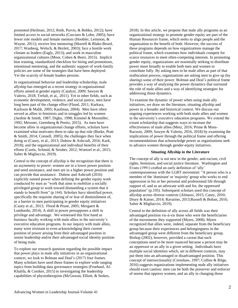promoted (Heilman, 2012; Roth, Purvis, & Bobko, 2012); have limited access to social networks (Casciaro & Lobo, 2005); have fewer role models and female mentors (Hoobler, Lemmon, & Wayne, 2011); receive less mentoring (Murrell & Blake-Beard, 2017; Wanberg, Welsch, & Hezlett, 2003); face a hostile work climate as leaders (Eagly, 2013); and work in masculine organizational cultures (Moor, Cohen & Beeri, 2015). Implicit bias training, standardized checklists for hiring and promotions, intentional mentoring, and the authentic support of work-family policies are some of the strategies that have been deployed. Yet the scarcity of female leaders persists.

In organizational behavior and leadership scholarship, male allyship has emerged as a recent strategy in organizational efforts aimed at gender equity (Catalyst, 2009; Sawyer & Valerio, 2018; Trefalt, et al,. 2011). Yet in other fields, such as economic development, violence, and social justice, men have long been part of the change effort (Flood, 2011; Karkara, Karlsson & Malik, 2005; Kaufman, 2004). Men have often served as allies to feminists and in struggles led by women (Jardine & Smith, 1987; Digby, 1998; Kimmel & Mosmiller, 1992; Messner, Greenberg & Peretz, 2015). As men have become allies in organizational change efforts, scholars have examined what motivates them to take up that role (Burke, Pratt & Smith, 2014; Connell, 2005); the challenges they face when doing so (Casey, et al., 2013; Dubow & Ashcraft, 2016; Kark, 2018); and the organizational and individual benefits of their efforts (Curtis, Schmid, & Struber, 2012; Woetzel et al., 2015; Salter & Migliaccio, 2019).

Central to the concept of allyship is the recognition that there is an asymmetry to power: women are in a lower power position and need assistance, and men are in a higher power position and can provide that assistance. Dubow and Ashcraft (2016) explicitly named power when defining the gender equity work conducted by men as "work that aims to mobilize a socially privileged group to work toward dismantling a system that it stands to benefit from" (p.164). Scholars have identified power, specifically the requisite sharing of or fear of diminishment of, as a barrier to men participating in gender equity initiatives (Casey et al., 2013; Flood & Pease, 2005; Mergaert & Lombardo, 2014). A shift in power presupposes a shift in privilege and advantage. We witnessed this first hand as business faculty working with male allies in the university's executive education programs. In our inquiry with male allies, many were resistant to even acknowledging their current position of power arising from their advantaged position in senior leadership and/or their advantaged social identity position of being male.

To explore our research question regarding the possible impact that power plays in male ally initiatives in an organizational context, we look to Bolman and Deal's (2017) four frames. Many scholars have used those frames to explore wide ranging topics from building data governance strategies (Fruehauf, Al-Khalifa, & Coniker, 2015) to investigating the leadership capabilities of physiotherapists (McGowan, Elliott, & Stokes,

2018). In this article, we propose that male ally programs as an organizational strategy to promote gender equity are part of the Human Resources frame, which seeks to align people and the organization to the benefit of both. However, the success of these programs depends on how organizations manage the political frame, which examines how individuals compete for scarce resources to meet often-competing interests. In promoting gender equity, organizations are essentially seeking to distribute power more broadly to enable both men and women to contribute fully. By asking men to be male allies as part of that reallocation process, organizations are asking men to give up (by sharing) some of their power. Bolman and Deal's political frame provides a way of analyzing the power dynamics that surround the role of male allies and a way of identifying strategies for addressing those dynamics.

To examine the dynamic of power when using male ally initiatives, we draw on the literature, situating allyship and power in a broader and historical context. We discuss our ongoing experiences working with both male allies and women in the university's executive education programs. We extend the extant scholarship that suggests ways to increase the effectiveness of male allies (Metz, 2016; Prime & Moss-Racusin, 2009; Sawyer & Valerio, 2016, 2018) by examining the implications of power through the political frame and offering recommendations that acknowledge power as organizations seek to advance women through gender-equity initiatives.

#### **Situating Allyship in the Literature**

The concept of ally is not new in the gender, anti-racism, civil rights, feminism, and social justice literature. Washington and Evans (1991) crafted an early definition of 'ally' contemporaneous with the LGBT movement: "A person who is a member of the 'dominant' or 'majority' group who works to end oppression in his or her personal and professional life through support of, and as an advocate with and for, the oppressed population" (p.195). Subsequent scholars used this concept of allyship across diverse contexts (Almassi, 2015; Casey, 2010; Drury & Kaiser, 2014; Ravarino, 2013;Russell & Bohan, 2016; Salter & Migliaccio, 2019).

Central to the definition of ally across all fields was their advantaged position vis-à-vis those who were the beneficiaries of the movements they supported (Myers, 2008). Myers recognized that allies were, indeed, separate from the beneficiary group because their experiences and belongingness in the advantaged group were different from the beneficiary group. Bishop (2002), however, provided a caveat that such conceptions need to be more nuanced because a person may be an oppressor or an ally in a given setting. Individuals have multiple social identities which, set in different contexts, may put them into an advantaged or disadvantaged position. This concept of intersectionality (Crenshaw, 1997; Collins & Bilge, 2016) suggests organizations implementing male ally initiatives should exert caution: men can be both the preserver and enforcer of norms that oppress women, and an ally in changing those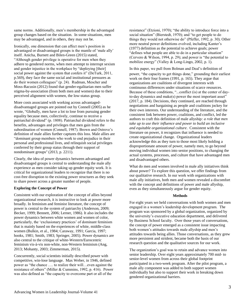same norms. Additionally, men's membership in the advantaged group changes based on the situation. In some situations, men may be advantaged, and in others, they may not be.

Ironically, one dimension that can affect men's position in advantaged or disadvantaged groups is the mantle of 'male ally' itself. Anicha, Burnett and Bilen-Green (2015) stated, "Although gender privilege is operative for men when they adhere to gendered norms, when men attempt to interrupt sexism and gender injustice in the workplace by "deploying [their] social power against the system that confers it" (DeTurk, 2011, p.569), they face the same social and institutional pressures as do their women colleagues" (p. 24). Rudman, Mescher and Moss-Racusin (2012) found that gender-egalitarian men suffer stigma-by-association (from both men and women) due to their perceived alignment with women, the low-status group.

More costs associated with working across advantageddisadvantaged groups are pointed out by Connell (2005) as he wrote, "Globally, men have a lot to lose from pursuing gender equality because men, collectively, continue to receive a patriarchal dividend" (p. 1808). Patriarchal dividend refers to the benefits, advantages and privileges that men gain from the subordination of women (Connell, 1987). Brown and Ostrove's definition of male allies further captures this loss. Male allies are "dominant group members who work to end prejudice in their personal and professional lives, and relinquish social privileges conferred by their group status through their support of nondominant groups'' (2013, p. 2211).

Clearly, the idea of power dynamics between advantaged and disadvantaged groups is central to understanding the male ally experience as men consider taking up gender equity work. It is critical for organizational leaders to recognize that there is no cost-free disruption to the existing power structures as they seek to share power across a greater number of people.

# **Exploring the Concept of Power**

Consistent with our exploration of the concept of allies beyond organizational research, it is instructive to look at power more broadly. In feminism and feminist literature, the concept of power is central to the system of patriarchy (Anderson, 2009; Becker, 1999; Bennett, 2006; Lerner, 1986). It also includes the power dynamics between white women and women of color, particularly, the 'exclusionary practices' of dominant feminism that is mainly based on the experiences of white, middle-class women (Bulkin, et al., 1984; Caraway, 1991; Garcia, 1997; hooks, 1981; Smith, 1983; Springer, 2005). Power dynamics are also central to the critique of white-Western/Eurocentric feminism vis-à-vis non-white, non-Western feminism (Ang, 2013; Mohanty, 2003; Zimmerman, 2015).

Concurrently, social scientists initially described power with competitive, win-lose language. Max Weber, in 1946, defined power as "the chance …. to realize their will…even against the resistance of others" (Miller & Cummins, 1992, p. 416). Power was also defined as "the capacity to overcome part or all of the

resistance" (Etzioni, 1970); "the ability to introduce force into a social situation" (Bierstedt, 1970); and "to get people to do things they would not otherwise do" (Pfeffer, 1992, p. 30). Other more neutral power definitions evolved, including Kanter's (1977) definition as the potential to achieve goals; power "defines what people are able to do in a particular situation" (Cervero & Wilson, 1994, p. 29); and power is "the potential to mobilize energy" (Valley & Long-Lingo, 2002, p. 1).

In this paper, we pull from Bolman and Deal's definition of power, "the capacity to get things done," grounding their earliest work on their four frames (1991, p. 165). They argue that organizations are coalitions of divergent interests with continuous differences under situations of scarce resources. Because of these conditions, "...conflict (is) at the center of dayto-day dynamics and make(s) power the most important asset" (2017, p. 184). Decisions, they continued, are reached through negotiations and bargaining as people and coalitions jockey for their own interests. Our understanding of the literature, and the consistent link between power, coalitions, and conflict, led the authors to craft this definition of male allyship*: a role that men take up to use their influence and power to build an inclusive and equitable organizational culture*. Consistent with the literature on power, it recognizes that influence is needed to create organizational change. Organizational leaders acknowledge this as they turn to those most likely holding a disproportionate amount of power, namely men, to go beyond moving individual women into senior positions, to changing the actual systems, processes, and culture that have advantaged men and disadvantaged others.

What do men and women involved in male ally initiatives think about power? To explore this question, we offer findings from our qualitative research. In our work with organizations with male ally initiatives, both men and women revealed a discomfort with the concept and definitions of power and male allyship, even as they simultaneously argue for gender equity.

# **Methods**

For eight years we held conversations with both women and men engaged in a women's leadership development program. The program was sponsored by a global organization, organized by the university's executive education department, and delivered by Business School faculty. Over those years of conversations, the concept of power emerged as a consistent issue impacting both women's attitudes towards male allyship and men's attitudes towards being allies. Those conversations, as they grew more persistent and strident, became both the basis of our research question and the qualitative sources for our work.

The organization's goal was to retain and advance women into senior leadership. Over eight years approximately 700 mid- to senior-level women from across their global footprint participated in a two-week program. After the pilot program, a male ally component was added to both support women individually but also to support their work in breaking down gendered organizational barriers.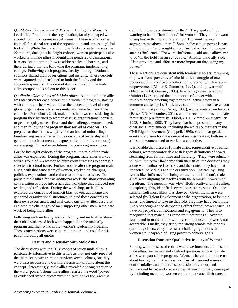*Qualitative Discussions with Women***:** During the Women's Leadership Program for the organization, faculty engaged with around 700 mid- to senior-level women. These women came from all functional areas of the organization and across its global footprint. While the curriculum was fairly consistent across the 22 cohorts, during its last eight cohorts, women participants also worked with male allies in identifying gendered organizational barriers, brainstorming how to address selected barriers, and then, during 6 months following the program, implementing change. Following each program, faculty and organizational sponsors shared their observations and insights. These debriefs were captured and distributed to both the faculty and the corporate sponsors. The debrief discussions about the male allies component is salient to this paper.

*Qualitative Discussions with Male Allies*: A group of male allies was identified for each cohort of the women's program, starting with cohort 2. These were men at the leadership level of their global organization's business units, and were from multiple countries. For cohorts 2-14, male allies had two roles: during the program they listened to women discuss organizational barriers to gender equity to hear first-hand the challenges women faced; and then following the program they served as coaches. To prepare for those roles we provided an hour of onboarding: familiarizing male allies with the concepts of leadership and gender that their women colleagues (often their direct reports) were engaged in, and expectations for post-program support.

For the last eight cohorts of the program, the role of the male allies was expanded. During the program, male allies worked with a group of 5-6 women to brainstorm strategies to address a selected structural issue. For six months after the program male allies, with that same team of women, worked on changing policies, expectations, and culture to address that issue. To prepare male allies for this additional work, the short onboarding conversation evolved into a half day workshop that included prereading and reflection. During the workshop, male allies explored the concepts of implicit bias, power, advantage and gendered organizational structures; related those concepts to their own experiences; and analyzed a custom-written case that explored the challenges of men supporting other men in the hard work of being male allies.

Following each male ally session, faculty and male allies shared their observations of both what happened in the male ally program and their work in the women's leadership program. These conversations were captured in notes, and used for this paper including all quotes.

#### **Results and discussion with Male Allies**

The discussions with the 2018 cohort of seven male allies is particularly informative to this article as they not only repeated the theme of power from the previous seven cohorts, but they were also responsive to our more persistent probing about the concept. Interestingly, male allies revealed a strong reaction to the word 'power'. Some male allies resisted the word 'power' as evidenced by one quote: "women have power too, and this

definition ignores or diminishes that". They spoke of not wanting to be the "benefactors" for women. They did not want to emphasize the hierarchy, stating, "The word 'power' segregates me above others." Some believe that "power is part of the problem" and sought a more 'inclusive' term for power such as 'influence.' The word 'influence', said one, "allows me to be 'on the field', in an active role." Another male ally said, "Using my time and effort are more important than using my power."

These reactions are consistent with feminist scholars' reframing of power from 'power over' (the historical struggle of one person's dominance over another) to 'power to' which is about empowerment (Miller & Cummins, 1992); and 'power with' (Fletcher, 2004; Guinier, 1998). In offering a new paradigm, Guinier (1998) argued that "the notion of power with…. involves people working together as collective actors in a common cause" (p.1). 'Collective actors' or alliances have been part of feminist politics (Scott, 1998), women-related endeavors (Pease, ND; Macomber, 2014), and between feminists and male feminists or pro-feminists (Flood, 2011; Kimmel & Mosmiller, 1992; Schmitt, 1998). They have also been present in many other social movements, including the white southerners in the Civil Rights movement (Chappell, 1996). Given that genderequity is a vision for the entirety of an organization, both male allies and women need to work as a collective.

It is notable that these 2018 male allies, representative of earlier cohorts, were uncomfortable with legacy definitions of power stemming from formal titles and hierarchy. They were reluctant to 'own' the power that came with their titles, the decisions they alone were authorized to make, and the control they have that impacted individuals and the organization. Instead, by using words like 'influence' or 'being on the field with them', male allies were aligning themselves with the feminist 'power with' paradigm. The question was why? Both faculty and male allies, in exploring this, identified several possible reasons. One, the sample itself most likely was skewed. Given that men were selected (by Talent Development at the organization) to be male allies, and agreed to take up that role, they may have been more likely to recognize the dampening effect formal power structures have on people's contributions and engagement. They also recognized that male allies came from countries all over the world, and in many cultures, an overt direct use of power is not acceptable. Finally, they attributed strong female role models (mothers, sisters, early bosses) as challenging notions that women are incapable of using power to achieve goals.

#### **Discussion from our Qualitative Inquiry of Women**

Starting with the second cohort where we introduced the use of male allies, we immediately fielded questions as to why male allies were part of the program. Women shared their concerns about having men in the classroom (usually around issues of confidentiality and potential suppression of candor, and reputational harm) and also about what was implicitly conveyed by including men: that women could not advance their careers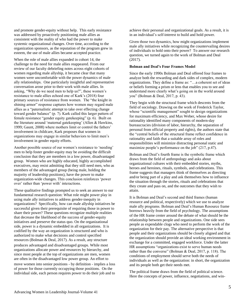was addressed by proactively positioning male allies as consistent with the reality of who had the power to make systemic organizational changes. Over time, according to the organization sponsors, as the reputation of the program grew in esteem, the use of male allies became accepted practice. When the role of male allies expanded in cohort 14, the

and promote gender-equity without help. This early resistance

challenge to the need for male allies reappeared. From our review of our faculty debriefing notes across eight cohorts of women regarding male allyship, it became clear that many women were uncomfortable with the power dynamics of male ally relationships. One particularly insightful and representative conversation arose prior to their work with male allies. In asking, "Why do we need men to help us?", these women's resistance to male allies echoed one of Kark's (2018) four primary sources of resistance from women. The "the knight in shining armor" response captures how women may regard male allies as a "paternalistic attempt to take over effecting change toward gender balance" (p. 7). Kark called this larger pattern of female resistance "gender equity gatekeeping" (p. 6). Built on the literature around 'maternal gatekeeping' (Allen & Hawkins, 1999; Gaunt, 2008) where mothers limit or control the fathers' involvement in childcare, Kark proposes that women in organizations may engage in similar behaviors to limit men's involvement in gender equity efforts.

Another possible source of our women's resistance to 'needing' men to help foster gender-equity may be avoiding the difficult conclusion that they are members in a low power, disadvantaged group. Women who are highly educated, highly accomplished executives, may resist admitting that they still need men, who as members of the advantaged group (being male, holding the majority of leadership positions), have the power to make organization-wide changes. This conclusion reinforces 'power over' rather than 'power with' interactions.

These qualitative findings prompted us to seek an answer to our fundamental research question: What role might power play in using male ally initiatives to address gender-inequity in organizations? Specifically, how can male allyship initiatives be successful given their prerequisite of requiring those in power to share their power? These questions recognize multiple realities that decrease the likelihood of the success of gender-equity initiatives and preserve the status quo. On the organizational side, power is a dynamic embedded in all organizations. It is codified by the way an organization is structured and who is authorized to make what decisions and control specified resources (Bolman & Deal, 2017). As a result, any structure produces advantaged and disadvantaged groups. While most organizations allocate power and resources by hierarchy, and since most people at the top of organizations are men, women are often in the disadvantaged low power group. An effort to move women into senior positions - by definition - implies a loss of power for those currently occupying those positions. On the individual side, each person requires power to do their job and to

achieve their personal and organizational goals. As a result, it is in an individual's self-interest to build and hold power.

Given those two dynamics, how might organizations implement male ally initiatives while recognizing the countervailing desires of individuals to hold onto their power? To answer our research question, we turned again to the work of Bolman and Deal (2017).

## **Bolman and Deal's Four Frames Model**

Since the early 1990s Bolman and Deal offered four frames to analyze both the rewarding and dark sides of complex, modern organizations. They define a frame as: "…a coherent set of ideas or beliefs forming a prism or lens that enables you to see and understand more clearly what's going on in the world around you" (Bolman & Deal, 2017, p. 43).

They begin with the structural frame which descents from the field of sociology. Drawing on the work of Frederick Taylor, whose "scientific management" sought to design organizations for maximum efficiency, and Max Weber, whose desire for rationality identified many components of modern-day bureaucracies (division of labor, hierarchy, the separation of personal from official property and rights), the authors state that the "central beliefs of the structural frame reflect confidence in rationality and faith that a suitable array of roles and responsibilities will minimize distracting personal static and maximize people's performance on the job" (217, p.47).

Bolman and Deal's fourth frame is the symbolic frame which draws from the field of anthropology and asks about organizational cultures with their embedded stories, myths, heroes and heroines, rituals, symbols, and celebrations. This frame suggests that managers think of themselves as directing and/or being part of a play and ask themselves how to influence the situation through the stories, rituals and celebrations that they create and pass on, and the outcomes that they wish to attain.

It is Bolman and Deal's second and third frames (human resource and political, respectively) which we use to analyze male ally programs. Bolman and Deal's Human Resource frame borrows heavily from the field of psychology. The assumptions of the HR frame center around the debate of what should be the relationship between people and organizations. One side sees people as expendable clogs who need to perform the work of the organization for their pay. The alternative perspective is that people and their organizations should be closely aligned and that the organization should provide an ideal working environment in exchange for a committed, engaged workforce. Under the latter HR assumptions "organizations exist to serve human needs rather than the converse" (Bolman & Deal, 2017, p. 118). The conditions of employment should serve both the needs of individuals as well as the organization: in short, the organization and its people both get their needs met.

The political frame draws from the field of political science. Here the concepts of power, influence, negotiations, and win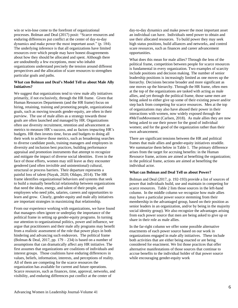win or win-lose come to the forefront of organizational processes. Bolman and Deal (2017) posit: "Scarce resources and enduring differences put conflict at the center of day-to-day dynamics and make power the most important asset." (p. 184). The underlying inference is that all organizations have limited resources over which people may have honest disagreements about how they should be allocated and spent. Although there are undoubtedly a few exceptions, most who inhabit organizations understand precisely the tension around different perspectives and the allocation of scare resources to strengthen particular goals and paths.

## **What can Bolman and Deal's Model Tell us about Male Ally Initiatives?**

We suggest that organizations tend to view male ally initiatives primarily, if not exclusively, through the HR frame. Given that Human Resources Departments (and the HR frame) focus on hiring, retaining, training and promoting people, organizational goals, such as moving towards gender-equity, are often in their purview. The use of male allies as a strategy towards those goals are often launched and managed by HR. Organizations often use diversity recruitment, retention and advancement as metrics to measure HR's success, and as factors impacting HR's budgets. HR then invests time, focus and budgets to doing all their work to achieve those metrics, such as broadening searches to diverse candidate pools, training managers and employees in diversity and inclusion best practices, building performance appraisal and promotion instruments that attempt to recognize and mitigate the impact of diverse social identities. Even in the face of those efforts, women may still leave as they encounter gendered (and often invisible and unintentional) cultural, structural or process barriers. Their departure represents a painful loss of talent (Nayak, 2020; Oldapo, 2014). The HR frame identifies organizational behaviors and systems that seek to build a mutually beneficial relationship between organizations that need the ideas, energy, and talent of their people, and employees who need jobs, salaries, careers and opportunities to learn and grow. Clearly, gender-equity and male ally initiatives are important strategies in maximizing that relationship.

From our experience working with organizations, we have found that managers often ignore or underplay the importance of the political frame in setting up gender-equity programs. In turning our attention to organizational politics, power and influence, we argue that practitioners and their male ally programs may benefit from a realistic assessment of the role that power plays in both hindering and advancing such endeavors. The political frame (Bolman & Deal, 2017, pp. 179 – 234) is based on a number of assumptions that can dramatically affect any HR initiative. The first assumes that organizations are coalitions of individuals and interest groups. Those coalitions have enduring differences in values, beliefs, information, interests, and perceptions of reality. All of them are competing for the scarce resources the organization has available for current and future operations. Scarce resources, such as finances, time, approval, networks, and visibility, and enduring differences put conflict at the center of

day-to-day dynamics and make power the most important asset an individual can have. Individuals need power to obtain and use their allocated resources. To build power they may seek high status positions, build alliances and networks, and control scare resources, such as finances and career advancement opportunities.

What does this mean for male allies? Through the lens of the political frame, competition between people for scarce resources is fundamental in every organization. Two examples of scarcity include positions and decision making. The number of senior leadership positions is increasingly limited as one moves up the hierarchy. Decisions become broader and more significant as one moves up the hierarchy. Through the HR frame, often men at the top of the organizations are tasked with acting as male allies, and yet through the political frame, those same men are being asked to either give up some of their existing power and/or step back from competing for scarce resources. Men at the top of organizations may also have abused their power in their interactions with women, now widely exposed through the #MeTooMovement (Carlsen, 2018). As male allies they are now being asked to use their power for the good of individual women; and for the good of the organization rather than their own advancement.

There are significant tensions between the HR and political frames that male allies and gender-equity initiatives straddle. We summarize them below in Table 1. The primary difference arises from the target for accruing benefits: in the Human Resource frame, actions are aimed at benefiting the organization; in the political frame, actions are aimed at benefiting the individual actor.

# **What can Bolman and Deal Tell us about Power?**

Bolman and Deal (2017, p. 192-193) provide a list of sources of power that individuals build, use and maintain in competing for scarce resources. Table 2 lists those sources in the left-hand column. In the middle column we recognize how male allies may have a particular power source stemming from their membership in the advantaged group, based on their position as senior leaders in an organization, and/or by being in the majority social identity group). We also recognize the advantages arising from each power source that men are being asked to give up or share in their role as male allies.

In the far-right column we offer some possible alternative enactments of each power source based on our work in organizations engaged in male ally initiatives. These include both activities that are either being enacted or are being considered for enactment. We list those practices that offer alternative manifestations of those sources that continue to accrue benefits to the individual holder of that power source while encouraging gender-equity work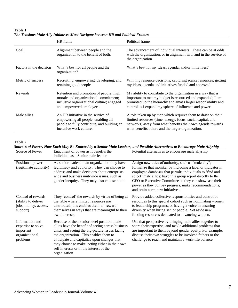**Table 1** *The Tensions Male Ally Initiatives Must Navigate between HR and Political Frames* 

|                         | HR frame                                                                                                                                                  | Political frame                                                                                                                                                                                                                                       |
|-------------------------|-----------------------------------------------------------------------------------------------------------------------------------------------------------|-------------------------------------------------------------------------------------------------------------------------------------------------------------------------------------------------------------------------------------------------------|
| Goal                    | Alignment between people and the<br>organization to the benefit of both.                                                                                  | The advancement of individual interests. These can be at odds<br>with the organization, or in alignment with and in the service of<br>the organization.                                                                                               |
| Factors in the decision | What's best for all people and the<br>organization?                                                                                                       | What's best for my ideas, agenda, and/or initiatives?                                                                                                                                                                                                 |
| Metric of success       | Recruiting, empowering, developing, and<br>retaining good people.                                                                                         | Winning resource decisions; capturing scarce resources; getting<br>my ideas, agenda and initiatives funded and approved.                                                                                                                              |
| Rewards                 | Retention and promotion of people; high<br>morale and organizational commitment;<br>inclusive organizational culture; engaged<br>and empowered employees. | My ability to contribute to the organization in a way that is<br>important to me: my budget is resourced and expanded; I am<br>promoted up the hierarchy and amass larger responsibility and<br>control as I expand my sphere of influence and power. |
| Male allies             | An HR initiative in the service of<br>empowering all people, enabling all<br>people to fully contribute, and building an<br>inclusive work culture.       | A role taken up by men which requires them to draw on their<br>limited resources (time, energy, focus, social capital, and<br>networks) away from what benefits their own agenda towards<br>what benefits others and the larger organization.         |

**Table 2**

| Sources of Power, How Each May Be Enacted by a Senior Male Leaders, and Possible Alternatives to Encourage Male Allyship |                                                                                                                                                                                                                                                                                                                                                               |                                                                                                                                                                                                                                                                                                                                                                                                    |  |
|--------------------------------------------------------------------------------------------------------------------------|---------------------------------------------------------------------------------------------------------------------------------------------------------------------------------------------------------------------------------------------------------------------------------------------------------------------------------------------------------------|----------------------------------------------------------------------------------------------------------------------------------------------------------------------------------------------------------------------------------------------------------------------------------------------------------------------------------------------------------------------------------------------------|--|
| Source of Power                                                                                                          | Enactment of power as it benefits the<br>individual as a Senior male leader                                                                                                                                                                                                                                                                                   | Potential alternatives to encourage male allyship                                                                                                                                                                                                                                                                                                                                                  |  |
| Positional power<br>(legitimate authority)                                                                               | As senior leaders in an organization they have<br>legitimacy and authority. They can choose to<br>address and make decisions about enterprise-<br>wide and business unit-wide issues, such as<br>gender inequity. They may also choose not to.                                                                                                                | Assign new titles of authority, such as "male ally";<br>formalize that moniker by including a label or indicator in<br>employee databases that permits individuals to 'find and<br>select' male allies; have this group report directly to the<br>CEO or Executive Committee so they can showcase their<br>power as they convey progress, make recommendations,<br>and brainstorm new initiatives. |  |
| Control of rewards<br>(ability to deliver<br>jobs, money, access,<br>support)                                            | They 'control' the rewards by virtue of being at<br>the table where limited resources are<br>distributed; this enables them to 'reward'<br>themselves in ways that are meaningful to their<br>own interests.                                                                                                                                                  | Provide added collective responsibilities and control of<br>resources to this special cohort such as nominating women<br>to leadership programs, or having a voice in ensuring<br>diversity when hiring senior people. Set aside new<br>funding resources dedicated to advancing women.                                                                                                            |  |
| Information and<br>expertise to solve<br>important<br>organizational<br>problems                                         | Because of their senior level position, male<br>allies have the benefit of seeing across business<br>units, and seeing the big-picture issues facing<br>the organization. This enables them to<br>anticipate and capitalize upon changes that<br>they choose to make, acting either in their own<br>self interests or in the interest of the<br>organization. | Use that perspective by bringing male allies together to<br>share their expertise, and tackle additional problems that<br>are important to them beyond gender equity. For example,<br>discuss their own struggles to be involved fathers or the<br>challenge to reach and maintain a work-life balance.                                                                                            |  |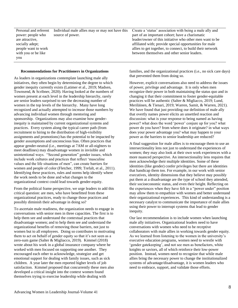Personal and referent power: people who are attractive, socially adept; people want to work with you or be like you

Individual male allies may or may not have this source of power.

#### **Recommendations for Practitioners in Organizations**

As leaders in organizations contemplate launching male ally initiatives, they often begin by determining the degree to which gender inequity currently exists (Latimer et al., 2019; Madsen, Townsend, & Scribner, 2020). Having looked at the numbers of women present at each level in the leadership hierarchy, rarely are senior leaders surprised to see the decreasing number of women in the top levels of the hierarchy. Many have long recognized and actually attempted to increase those numbers by advancing individual women through mentoring and sponsorship. Organizations may also examine how genderinequity is maintained by current organizational systems and practices. Every system along the typical career path (from recruitment to hiring to the distribution of high-visibility assignments and promotions) has the potential to be impacted by gender assumptions and unconscious bias. Often practices that appear gender-neutral (i.e., meetings at 7AM or all-nighters to meet deadlines) may disadvantage women in invisible and unintentional ways. "Second generation" gender issues, which include work cultures and practices that reflect 'masculine values and the life situations of men", can create barriers for women and people of color (Fletcher, 1999; Trefalt, et al., 2011). Identifying these practices, rules and norms help identify where the work needs to be done and what changes to the organizational context could lead towards gender-equity.

From the political frame perspective, we urge leaders to add this critical question: are men, who have benefitted from these organizational practices, ready to change those practices and possibly diminish their advantage in doing so?

To ascertain male readiness, the organization needs to engage in conversations with senior men in three capacities. The first is to help them see and understand the contextual practices that disadvantage women; and to help them see and understand the organizational benefits of removing those barriers, not just to women but to all employees. Doing so contributes to motivating them to act on behalf of gender equity so that it's not seen as a zero-sum game (Salter & Migliacco, 2019). Kimmel (2018) wrote about his work in a global insurance company where he worked with men focused on supporting one another. They encouraged each other to acknowledge, strategize and get emotional support for dealing with family issues, such as sick children. A year later the men reported higher levels of job satisfaction. Kimmel proposed that concurrently these men also developed a critical insight into the context women found themselves trying to exercise leadership while dealing with

Create a 'status' association with being a male ally and part of an important cohort; have a charismatic leader/owner of this initiative who other men want to be affiliated with; provide special opportunities for male allies to get together, to connect, to build their network between themselves and other senior leaders.

families, and the organizational practices (i.e., no sick care days) that prevented them from doing so.

However, explicit conversations also need to address the issues of power, privilege and advantage. It is only when men recognize their power in both maintaining the status quo and in changing it that their commitment to foster gender-equitable practices will be authentic (Salter & Migliacco, 2019; Lund, Meriläinen, & Tienari, 2019; Warren, Samit, & Warren, 2021). We have found that just providing our definition of male ally that overtly names power elicits an unsettled reaction and discussion: what is your response to being named as having power? what does the word 'power' conjure up for you? what power do you have? from where does it originate? in what ways does your power advantage you? what may happen to your power as the barriers to senior leadership are reduced?

A final suggestion for male allies is to encourage them to use an intersectionality lens not just to understand the experiences of women; they may also look at their own work experiences with a more nuanced perspective. An intersectionality lens requires that men acknowledge their multiple identities. Some of these identities (like gender) confer privileges but there are identities that handicap them too. For example, in our work with senior executives, identity dimensions that they believe may possibly put them at a disadvantage are the type of school they attended, their socioeconomic status, and even their height. Reflecting on the experiences when they have felt in a "power under" position may allow them to empathize with women and better understand their organizational experiences. This kind of understanding is a necessary catalyst to communicate the importance of male allies using their power to interrupt systems that lead to gender inequity.

Our last recommendation is to include women when launching male ally initiatives. Organizational leaders need to have conversations with women who need to be receptive collaborators with male allies in working towards gender equity. As we learned from listening to the women in the university's executive education programs, women need to wrestle with 'gender gatekeeping', and not see men as benefactors, white knights or saviors, all of which reinforce their low-power position. Instead, women need to recognize that while male allies bring the necessary power to change the institutionalized systems of advantage/disadvantage, it is women leaders who need to embrace, support, and validate those efforts.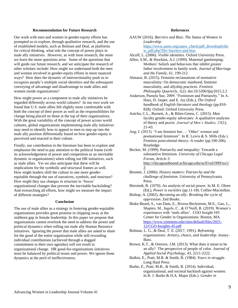#### **Recommendation for Future Research**

Our work with men and women in gender-equity efforts has prompted us to explore, through qualitative research, and the use of established models, such as Bolman and Deal, as platforms for critical thinking, what role the concept of power plays in male ally initiatives. However, as with most research, the more we learn the more questions arise. Some of the questions that will guide our future research, and we anticipate the research of other scholars include: How might we understand both the men and women involved in gender-equity efforts in more nuanced ways? How does the dynamic of intersectionality push us to recognize people's multiple social identities and the subsequent conveying of advantage and disadvantage to male allies and women inside organizations?

How might power as a component in male ally initiatives be regarded differently across world cultures? In our own work we found that U.S. male allies felt slightly more comfortable with both the concept of their power as well as the responsibilities for change being placed on those at the top of their organizations. With the great variability of the concept of power across world cultures, global organizations implementing male ally initiatives may need to identify how to appeal to men to step up into the male ally position differentially based on how gender-equity is perceived and enacted in their culture.

Finally, our contribution to the literature has been to explore and emphasize the need to pay attention to the political frame (with its acknowledgement of power and competition as an inevitable dynamic in organizations) when rolling out HR initiatives, such as male allies. Yet we also anticipate that there will be implications for the symbolic and structural frames as well. How might leaders shift the culture to one more genderequitable through the use of narratives, symbols, and structure? How might they use changes in structure to 'freeze' organizational changes that prevent the inevitable backsliding? And overarching all efforts, how might we measure the impact of different strategies?

# **Conclusion**

The use of male allies as a strategy in fostering gender-equitable organizations provides great promise in chipping away at the stubborn gap in female leadership. In this paper we propose that organizations cannot overlook the need to address the power and political dynamics when rolling out male ally Human Resource initiatives. Ignoring the power that male allies are asked to share for the good of the entire organization while still rewarding individual contributions (achieved through a dogged commitment to their own agendas) will not result in organizational change. HR good-for-organizations initiatives must be balanced by political issues and power. We ignore those dynamics at the peril of ineffectiveness.

## **References**

| AAUW (2016). Barriers and Bias: The Status of Women in                                              |
|-----------------------------------------------------------------------------------------------------|
| Leadership.                                                                                         |
| https://www.aauw.org/aauw check/pdf download/sho                                                    |
| w pdf.php?file=barriers-and-bias                                                                    |
| $\lambda$ 1. C I (000C) I $\lambda$ 11 $\lambda$ 1 $\lambda$ 1 $\lambda$ 1 $\lambda$ 1 $\lambda$ 1. |

Alcoff, L. (2006). *Visible identities*. Oxford University Press.

- Allen, S.M., & Hawkins, A.J. (1999). Maternal gatekeeping: Mothers' beliefs and behaviors that inhibit greater father involvement in family work. *Journal of Marriage and the Family*, *61*, 199-212.
- Almassi, B. (2015). Feminist reclamations of normative masculinity: On democratic manhood, feminist masculinity, and allyship practices. *Feminist Philosophy Quarterly, 1*(2). doi:10.5206/fpq/2015.2.2
- Anderson, Pamela Sue. 2009. "Feminism and Patriarchy." In A. Hass, D. Jasper, and E. Jay (Eds.), *The Oxford handbook of English literature and theology* (pp.810- 828)*.* Oxford: Oxford University Press*.*
- Anicha, C.L., Burnett, A., & Bilen-Green, C. (2015). Men faculty gender-equity advocates: A qualitative analyses of theory and praxis*. Journal of Men's Studies, 23*(1), 21-43.
- Ang, I. (2013). "I am feminist but…: 'Other' women and postnational feminism". In R. Lewis & S. Mills (Eds.). *Feminist postcolonial theory: A reader (pp.190-206).* Routledge.

Becker, M. (1999). Patriarchy and inequality: Towards a substantive feminism*. University of Chicago Legal Forum, Article 3*. [http://chicagounbound.uchicago.edu/uclf/vol1999/iss1/](http://chicagounbound.uchicago.edu/uclf/vol1999/iss1/3) [3](http://chicagounbound.uchicago.edu/uclf/vol1999/iss1/3)

- Bennett, J. (2006). *History matters: Patriarchy and the challenge of feminism*. University of Pennsylvania Press.
- Bierstedt, R. (1970). An analysis of social power. In M. E. Olsen (Ed.), *Power is societies* (pp.11-18). Collier-Macmillan.
- Bishop, A. (2002). *Becoming an ally: Breaking the cycle of oppression*. Zed Books.
- Blake-Beard, S., van Dam, E., Rivera-Beckstrom, M.E., Gao, L., Shapiro, M., Ingols, C., & O'Neill, R. (2019). Women's experiences with 'male allies'. CGO Insight #45. Center for Gender in Organizations: Boston, MA. [https://www.simmons.edu/sites/default/files/2021-](https://www.simmons.edu/sites/default/files/2021-12/CGO-Insights-45.pdf) [12/CGO-Insights-45.pdf](https://www.simmons.edu/sites/default/files/2021-12/CGO-Insights-45.pdf)
- Bolman, L. G., & Deal, T. E. (2017, 1991). *Reframing organizations: Artistry, choice, and leadership.* Jossey-Bass.
- Brown, K.T., & Ostrove, J.M. (2013). What does it mean to be an ally? The perspective of people of color. *Journal of Applied Social Psychology, 43*, 2211-2222.
- Bulkin, E., Pratt, M.B. & Smith, B. (1984). *Yours in struggle*. Long Haul Press.
- Burke, E., Pratt, M.B., & Smith, B. (2014). Individual, organizational, and societal backlash against women. In R. J. Burke & D.A. Major (Eds.). *Gender in*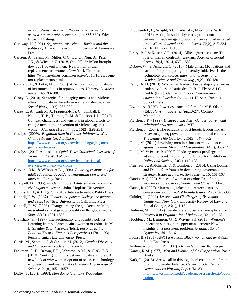*organizations: Are men allies or adversaries to women's career advancement?* (pp. 335-362). Edward Elgar Publishing.

- Caraway, N. (1991). *Segregated sisterhood: Racism and the politics of American feminism*. University of Tennessee Press.
- Carlsen, A., Salam, M., Miller, C.C., Lu, D., Ngu, A., Patel, J.K., & Wichter, Z. (2018, Oct. 29). #MeToo brought down 201 powerful men. Nearly half of their replacements are women. New York Times, at: [https://www.nytimes.com/interactive/2018/10/23/us/me](https://www.nytimes.com/interactive/2018/10/23/us/metoo-replacements.html) [too-replacements.html](https://www.nytimes.com/interactive/2018/10/23/us/metoo-replacements.html)
- Casciaro, T., & Lobo, M.S. (2005). Affective microfoundations of instrumental ties in organizations. *Harvard Business Review, 83*, 93-100.
- Casey, E. (2010). Strategies for engaging men as anti-violence allies: Implications for ally movements. *Advances in Social Work*, *11*(2): 267-282.
- Casey, E. A., Carlson, J., Fraguela-Rios, C., Kimball, E., Neugut, T. B., Tolman, R. M. & Edleson, J. L. (2013). Context, challenges, and tensions in global efforts to engage men in the prevention of violence against women*. Men and Masculinities*, *16*(2), 228-251.
- Catalyst. (2009). *Engaging Men in Gender Initiatives: What Change Agents Need to Know*. [https://www.catalyst.org/knowledge/engaging-men](https://www.catalyst.org/knowledge/engaging-men-gender-initiatives)[gender-initiatives](https://www.catalyst.org/knowledge/engaging-men-gender-initiatives)
- Catalyst. (2017, August 11). *Quick Take: Statistical Overview of Women in the Workplace*). [https://www.catalyst.org/knowledge/statistical](https://www.catalyst.org/knowledge/statistical-overview-women-workforce)[overview-women-workforce](https://www.catalyst.org/knowledge/statistical-overview-women-workforce)
- Cervero, R.M. & Wilson, A.L. (1994). *Planning responsibly for adult education: A guide to negotiating power and interests.* Jossey-Bass.
- Chappell, D. (1996). *Inside agitators: White southerners in the civil rights movement*. Johns Hopkins University.
- Collins, P. H., & Bilge, S. (2016). Intersectionality. Polity Press.
- Connell, R.W. (1987). *Gender and power: Society, the person and sexual politics*. University of California Press.
- Connell, R. W. (2005). Change among the gatekeepers: Men, masculinities, and gender equality in the global arena." *Signs 30*(3), 1801-1825.
- Crenshaw, K. (1997). Intersectionality and identity politics: Learning from violence against women of color. In M. L. Shanley & U. Narayan (Eds.), *Reconstructing Political Theory: Feminist Perspectives* (178—193). Pennsylvania State University Press.
- Curtis, M., Schmid, C. & Struber, M. (2012). *Gender Diversity and Corporate Leadership*, Zurich.
- Diekman, A. B., Brown, E.R., Johnston, A.M., & Clark, E.K. (2010). Seeking congruity between goals and roles: A new look at why women opt out of science, technology, engineering, and mathematical careers. *Psychological Science, 21*(8)*,*1051-1057.
- Digby, T. (Ed.). (1998). *Men doing feminism.* Routledge.
- Droogendyk, L., Wright, S.C., Lubensky, M.& Louis, W.R. (2016). Acting in solidarity: cross-group contact between disadvantaged group members and advantaged group allies. *Journal of Social Issues, 72*(2), 315-334. doi:10.1111/josi.12168
- Drury, B.J. & Kaiser, C.R. (2014). Allies against sexism: The role of men in confrontingsexism. *Journal of Social Issues*, *70*(4), 2014, 637—652.
- Dubow, W., & Ashcraft, C. (2016). Male allies: Motivations and barriers for participating in diversity initiatives in the technology workplace. *International Journal of Gender, Science and Technology, 8*(2), 160-180.
- Eagly, A. H. (2013). Women as leaders: Leadership style versus leaders' values and attitudes. In R. J. Ely & A.J.C. Cuddy (Eds.), *Gender and work: Challenging conventional wisdom* (pp. 4-11). Harvard Business School Press.
- Etzioni, A. (1970). Power as a societal force. In M.E. Olsen (Ed.), *Power in societies* (pp.18-27). Collier-Macmillan.
- Fletcher, J.K. (1999). *Disappearing Acts: Gender, power, and relational practice at work*. MIT.
- Fletcher, J. (2004). The paradox of post heroic leadership: An essay on gender, power and transformational change. *The Leadership Quarterly, 15*(5), 647 - 662.
- Flood, M. (2011). Involving men in efforts to end violence against women*. Men and Masculinities, 14*(3), 358-77.
- Flood, M. & Pease, B. (2005). Undoing men's privilege and advancing gender equality in publicsector institutions." *Policy and Society, 24*(4), 119-138.
- Fruehauf, J., Al-Khalifa, F. & Coniker, J. (2015). Using Bolman and Deal's four frames in developing governance strategy. *Issues in Information Systems*, *16*, 161-167.
- Garcia, A. (1997). Voices of women of color: Redefining women's studies. *Race, Gender, and Class, 4*, 11-28.
- Gaunt, R. (2007). Maternal gatekeeping: Antecedents and consequences. *Journal of Family Issues,* 29(3), 373-395
- Guinier, L. (1998). *Lessons and Challenges of Becoming Gentlemen*. New York University Review of Law and Social Change, *26*(1), 1-16.
- Heilman, M. E. (2012). Gender stereotypes and workplace bias. *Research in Organizational Behavior*, *32*, 113-135.
- Hoobler, J.M., Lemmon, G., & Wayne, S.J. (2011). Women's underrepresentation in upper management: New insights on a persistent problem. *Organizational Dynamics, 40*, 151-6.
- hooks, B. (1981). *Ain't I a woman: Black women and feminism*. South End Press.
- Jardine, A. & Smith, P. (1987). *Men in feminism.* Routledge.
- Kanter, R.M. (1977). *Men and Women of the Corporation*. Basic Books.
- Kark, R. (2018). Are we all in this together? challenges of men promoting gender balance. *Center for Gender in Organizations Working Paper No. 23*. [http://www.simmons.edu/academics/research/cgo/publi](http://www.simmons.edu/academics/research/cgo/publications) [cations.](http://www.simmons.edu/academics/research/cgo/publications)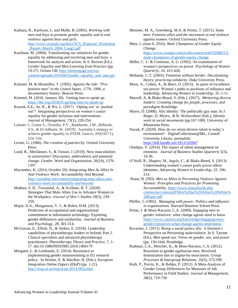- Karkara, R., Karlsson, L. and Malik, B. (2005). *Working with men and boys to promote gender equality and to end violence against boys and girls*. [http://www.siyanda.org/docs/SCS\\_Regional\\_Workshop](http://www.siyanda.org/docs/SCS_Regional_Workshop_Report_March_2004_Long2.pdf) Report March 2004 Long2.pdf
- Kaufman, M. (2004). Transforming our initiatives for gender equality by addressing and involving men and boys: a framework for analysis and action. In S. Ruxton (Ed*.), Gender Equality and Men:Learning from Practice* (pp. 19-27). Oxfam GB[. http://menengage.org/wp](http://menengage.org/wp-content/uploads/2014/06/Gender_equality_and_men.pdf)[content/uploads/2014/06/Gender\\_equality\\_and\\_men.pd](http://menengage.org/wp-content/uploads/2014/06/Gender_equality_and_men.pdf) [f](http://menengage.org/wp-content/uploads/2014/06/Gender_equality_and_men.pdf)
- Kimmel, M. & Mosmiller, T. (1992). *Against the tide: "Profeminist men" in the United States: 1776- 1990, a documentary history*. Beacon Press.
- Kimmel, M. (2018, January 30). Getting men to speak up. <https://hbr.org/2018/01/getting-men-to-speak-up>
- Kossek, E.E., Su, R., & Wu, L. (2017). 'Opting out' or 'pushed out'? Integrating perspectives on women's career equality for gender inclusion and interventions. *Journal of Management, 73*(1), 228-254.
- Latimer J., Cerise S., Ovseiko, P.V., Rathborne, J.M., Billiards, S.S., & El-Adhami, W. (2019). Australia's strategy to achieve gender equality in STEM. *Lancet, 393*(10171), 524–526.
- Lerner, G. (1986). *The creation of patriarchy*. Oxford University Press.
- Lund, R., Meriläinen, S., & Tienari, J. (2019). New masculinities in universities? Discourses, ambivalence and potential change. *Gender, Work and Organization, 26*(10), 1376– 1397.
- Macomber, K. (2014, October 20). *Integrating Men As Allies In Anti-Violence Work: Accountability And Beyond*. [http://xyonline.net/content/integrating-men-allies-anti](http://xyonline.net/content/integrating-men-allies-anti-violence-work-accountability-and-beyond)[violence-work-accountability-and-beyond](http://xyonline.net/content/integrating-men-allies-anti-violence-work-accountability-and-beyond)
- Madsen, S. R., Townsend, A., & Scribner, R. T. (2020). Strategies That Male Allies Use to Advance Women in the Workplace. *Journal of Men's Studies 28(*3), 239– 259.
- Major, D.A., Morganson, V. J., & Bolen, H.M. (2013). Predictors of occupational and organizational commitment in information technology: Exploring gender differences and similarities. *Journal of Business and Psychology, 28*, 301-314.
- McGowan, E., Elliott, N., & Stokes, E. (2018). Leadership capabilities of physiotherapy leaders in Ireland: Part 2. Clinical specialists and advanced physiotherapy practitioners. *Physiotherapy Theory and Practice, 7*, 1- 17. doi:10.1080/09593985.2018.1469179
- Mergaert, L. & Lombardo, E. (2014). Resistance to implementing gender mainstreaming in EU research policy. In Weiner, E. & MacRae, H. (Eds.), *European Integration Online Papers (EIoP)* (pp. 1-21). <http://eiop.or.at/eiop/texte/2014-005a.htm>

Messner, M. A., Greenberg, M.A. & Peretz, T. (2015*). Some men: Feminist allies and the movement to end violence against women*. Oxford University Press.

Metz, I. (June 6, 2016). *Male Champions of Gender Equity Change*. https://www.yumpu.com/en/document/read/55688215/ male-champions-of-gender-equity-change

- Miller, C. L. & Cummins, A. G. (1992). An examination of women's perspectives on power. *Psychology of Women Quarterly, 16*, 415-428.
- Mohanty, C.T. (2003). *Feminism without border: Decolonizing theory, practicing solidarity.* Duke University Press.
- Moor, A., Cohen, A., & Beeri, O. (2015). In quest of excellence not power: Women's paths to positions of influence and leadership. *Advancing Women in Leadership, 35*, 1-11
- Murrell, A. & Blake-Beard, S. (Eds.). (2017). *Mentoring diverse leaders: Creating change for people, processes, and paradigms.*Routledge.
- Myers, D. (2008). Ally identity: The politically gay man. In J. Reger, D. Myers,. & R. Weinwohner (Eds.), *Identity work in social movements* (pp.167-188)*.* University of Minnesota Press.
- Nayak, P. (2020). How do we retain diverse talent in today's environment? DigitalCollections@IRL, Cornell University Library, permalink: <https://hdl.handle.net/1813/102847>
- Oladapo, V. (2014). The impact of talent management on retention. *Journal of Business Studies Quarterly 5(*3), 19-36.
- O'Neill, R., Shapiro, M., Ingols, C., & Blake-Beard, S. (2013). Understanding women's career goals across ethnic identities. *Advancing Women in Leadership, 33*, 196- 214.
- Pease, B. (ND). *Men as Allies in Preventing Violence Against Women: Principles and Practices for Promoting Accountability*. [https://www.stonybrook.edu/](https://www.stonybrook.edu/%20commcms/csmm/pdf/Men%20as%20Allies%20White%20Paper.pdf)  [commcms/csmm/pdf/Men%20as%20Allies%20White%](https://www.stonybrook.edu/%20commcms/csmm/pdf/Men%20as%20Allies%20White%20Paper.pdf) [20Paper.pdf](https://www.stonybrook.edu/%20commcms/csmm/pdf/Men%20as%20Allies%20White%20Paper.pdf)
- Pfeffer, J. (1992). *Managing with power: Politics and influence in organizations*. Harvard Business School Press.
- Prime, J. & Moss-Racusin, C.A. (2009). *Engaging men in gender initiatives: what change agents need to know*. [https://www.catalyst.org/knowledge/engaging-men](https://www.catalyst.org/knowledge/engaging-men-gender-initiatives-what-change-agents-need-know)[gender-initiatives-what-change-agents-need-know](https://www.catalyst.org/knowledge/engaging-men-gender-initiatives-what-change-agents-need-know)
- Ravarino, J. (2013). Being a social justice ally: A feminist's Perspective on Preventing maleviolence. In S. Tarrant (Ed.), *Men speak out: Views on gender, sex, and power* (pp. 156-164). Routledge.
- Rudman, L.A., Mescher, K., & Moss-Racusin, C.A. (2012). Reactions to gender egalitarian men: Received feminization due to stigma-by-association. *Group Processes & Intergroup Relations, 16(*5), 572-599.
- Roth, P., Purvis, K., & Bobko, P. (2012). A Meta-Analysis of Gender Group Differences for Measures of Job Performance in Field Studies. *Journal of Management*, *38*(2), 719-739.